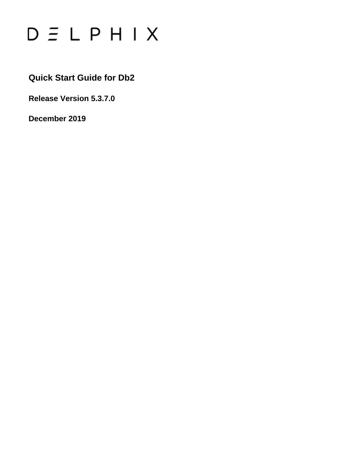

**Quick Start Guide for Db2**

**Release Version 5.3.7.0**

**December 2019**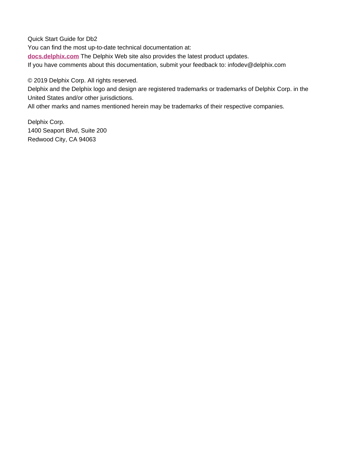Quick Start Guide for Db2 You can find the most up-to-date technical documentation at: **[docs.delphix.com](http://docs.delphix.com)** The Delphix Web site also provides the latest product updates. If you have comments about this documentation, submit your feedback to: infodev@delphix.com

© 2019 Delphix Corp. All rights reserved.

Delphix and the Delphix logo and design are registered trademarks or trademarks of Delphix Corp. in the United States and/or other jurisdictions.

All other marks and names mentioned herein may be trademarks of their respective companies.

Delphix Corp. 1400 Seaport Blvd, Suite 200 Redwood City, CA 94063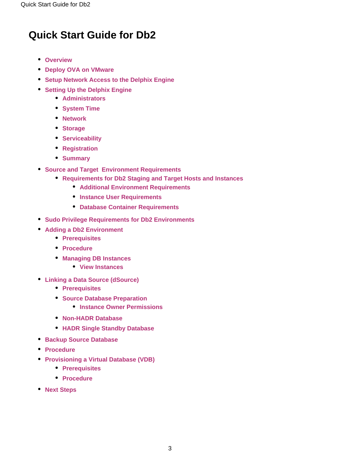## **Quick Start Guide for Db2**

- **[Overview](#page-2-0)**
- **[Deploy OVA on VMware](#page-3-0)**
- **[Setup Network Access to the Delphix Engine](#page-3-1)**
- **[Setting Up the Delphix Engine](#page-5-0)** 
	- **[Administrators](#page-6-0)**
	- **[System Time](#page-6-1)**
	- **[Network](#page-6-2)**
	- **[Storage](#page-6-3)**
	- **[Serviceability](#page-6-4)**
	- **•** [Registration](#page-7-0)
	- **[Summary](#page-7-1)**
- **[Source and Target Environment Requirements](#page-7-2)**
	- **[Requirements for Db2 Staging and Target Hosts and Instances](#page-8-0)**
		- **[Additional Environment Requirements](#page-8-1)**
		- **[Instance User Requirements](#page-9-0)**
		- **[Database Container Requirements](#page-9-1)**
- **[Sudo Privilege Requirements for Db2 Environments](#page-9-2)**
- **[Adding a Db2 Environment](#page-10-0)**
	- **[Prerequisites](#page-10-1)**
	- **[Procedure](#page-10-2)**
	- **[Managing DB Instances](#page-11-0)**
		- **[View Instances](#page-11-1)**
- **[Linking a Data Source \(dSource\)](#page-11-2)**
	- **[Prerequisites](#page-11-3)**
	- **[Source Database Preparation](#page-12-0)** 
		- **[Instance Owner Permissions](#page-12-1)**
	- **[Non-HADR Database](#page-12-2)**
	- **[HADR Single Standby Database](#page-12-3)**
- **[Backup Source Database](#page-14-0)**
- **[Procedure](#page-15-0)**
- **[Provisioning a Virtual Database \(VDB\)](#page-16-0)**
	- **[Prerequisites](#page-17-0)**
	- **[Procedure](#page-17-1)**
- <span id="page-2-0"></span>**[Next Steps](#page-18-0)**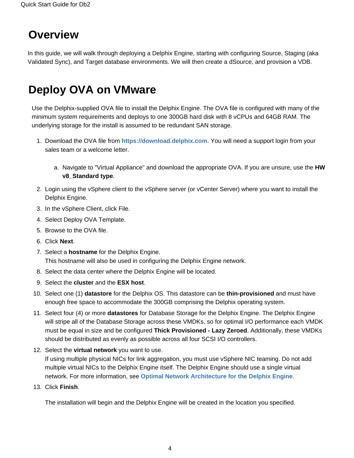# **Overview**

In this guide, we will walk through deploying a Delphix Engine, starting with configuring Source, Staging (aka Validated Sync), and Target database environments. We will then create a dSource, and provision a VDB.

# <span id="page-3-0"></span>**Deploy OVA on VMware**

Use the Delphix-supplied OVA file to install the Delphix Engine. The OVA file is configured with many of the minimum system requirements and deploys to one 300GB hard disk with 8 vCPUs and 64GB RAM. The underlying storage for the install is assumed to be redundant SAN storage.

- 1. Download the OVA file from **[https://download.delphix.com](https://download.delphix.com/)**. You will need a support login from your sales team or a welcome letter.
	- a. Navigate to "Virtual Appliance" and download the appropriate OVA. If you are unsure, use the **HW v8\_Standard type**.
- 2. Login using the vSphere client to the vSphere server (or vCenter Server) where you want to install the Delphix Engine.
- 3. In the vSphere Client, click File.
- 4. Select Deploy OVA Template.
- 5. Browse to the OVA file.
- 6. Click **Next**.
- 7. Select a **hostname** for the Delphix Engine. This hostname will also be used in configuring the Delphix Engine network.
- 8. Select the data center where the Delphix Engine will be located.
- 9. Select the **cluster** and the **ESX host**.
- 10. Select one (1) **datastore** for the Delphix OS. This datastore can be **thin-provisioned** and must have enough free space to accommodate the 300GB comprising the Delphix operating system.
- 11. Select four (4) or more **datastores** for Database Storage for the Delphix Engine. The Delphix Engine will stripe all of the Database Storage across these VMDKs, so for optimal I/O performance each VMDK must be equal in size and be configured **Thick Provisioned - Lazy Zeroed**. Additionally, these VMDKs should be distributed as evenly as possible across all four SCSI I/O controllers.
- 12. Select the **virtual network** you want to use. If using multiple physical NICs for link aggregation, you must use vSphere NIC teaming. Do not add multiple virtual NICs to the Delphix Engine itself. The Delphix Engine should use a single virtual network. For more information, see **[Optimal Network Architecture for the Delphix Engine](https://docs.delphix.com/display/DOCS537/Optimal+Network+Architecture+for+the+Delphix+Engine)**.
- 13. Click **Finish**.

<span id="page-3-1"></span>The installation will begin and the Delphix Engine will be created in the location you specified.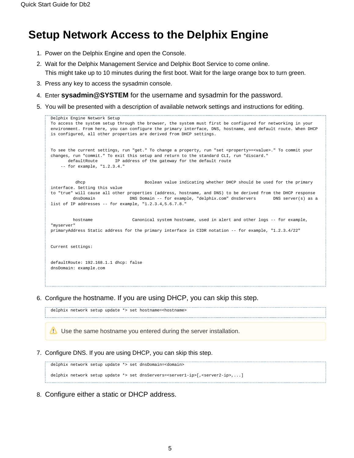## **Setup Network Access to the Delphix Engine**

- 1. Power on the Delphix Engine and open the Console.
- 2. Wait for the Delphix Management Service and Delphix Boot Service to come online. This might take up to 10 minutes during the first boot. Wait for the large orange box to turn green.
- 3. Press any key to access the sysadmin console.
- 4. Enter **sysadmin@SYSTEM** for the username and sysadmin for the password.
- 5. You will be presented with a description of available network settings and instructions for editing.

```
Delphix Engine Network Setup
To access the system setup through the browser, the system must first be configured for networking in your 
environment. From here, you can configure the primary interface, DNS, hostname, and default route. When DHCP 
is configured, all other properties are derived from DHCP settings.
To see the current settings, run "get." To change a property, run "set <property>=<value>." To commit your 
changes, run "commit." To exit this setup and return to the standard CLI, run "discard."
 defaultRoute IP address of the gateway for the default route
     -- for example, "1.2.3.4."
          dhcp Boolean value indicating whether DHCP should be used for the primary 
interface. Setting this value
to "true" will cause all other properties (address, hostname, and DNS) to be derived from the DHCP response
        dnsDomain DNS Domain -- for example, "delphix.com" dnsServers DNS server(s) as a
list of IP addresses -- for example, "1.2.3.4,5.6.7.8."
         hostname Canonical system hostname, used in alert and other logs -- for example, 
"myserver"
primaryAddress Static address for the primary interface in CIDR notation -- for example, "1.2.3.4/22"
Current settings:
defaultRoute: 192.168.1.1 dhcp: false
dnsDomain: example.com
```
6. Configure the hostname. If you are using DHCP, you can skip this step.

Use the same hostname you entered during the server installation.

7. Configure DNS. If you are using DHCP, you can skip this step.

delphix network setup update \*> set hostname=<hostname>

delphix network setup update \*> set dnsDomain=<domain> delphix network setup update \*> set dnsServers=<server1-ip>[,<server2-ip>,...]

8. Configure either a static or DHCP address.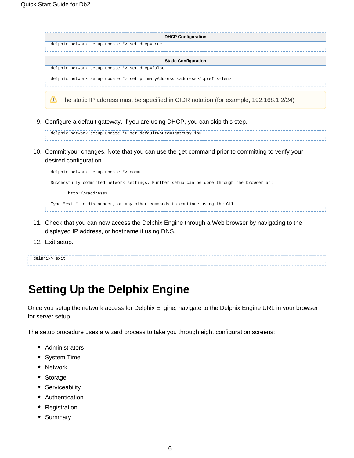|                                                                                                   | <b>DHCP Configuration</b>   |
|---------------------------------------------------------------------------------------------------|-----------------------------|
| delphix network setup update *> set dhcp=true                                                     |                             |
|                                                                                                   |                             |
|                                                                                                   | <b>Static Configuration</b> |
| delphix network setup update *> set dhcp=false                                                    |                             |
| delphix network setup update *> set primaryAddress= <address>/<prefix-len></prefix-len></address> |                             |
|                                                                                                   |                             |

- The static IP address must be specified in CIDR notation (for example, 192.168.1.2/24)
- 9. Configure a default gateway. If you are using DHCP, you can skip this step.

```
delphix network setup update *> set defaultRoute=<gateway-ip>
```
10. Commit your changes. Note that you can use the get command prior to committing to verify your desired configuration.

```
delphix network setup update *> commit
Successfully committed network settings. Further setup can be done through the browser at:
       http://<address>
Type "exit" to disconnect, or any other commands to continue using the CLI.
```
- 11. Check that you can now access the Delphix Engine through a Web browser by navigating to the displayed IP address, or hostname if using DNS.
- 12. Exit setup.

delphix> exit

## <span id="page-5-0"></span>**Setting Up the Delphix Engine**

Once you setup the network access for Delphix Engine, navigate to the Delphix Engine URL in your browser for server setup.

The setup procedure uses a wizard process to take you through eight configuration screens:

- Administrators
- System Time
- Network
- Storage
- Serviceability
- Authentication
- Registration
- Summary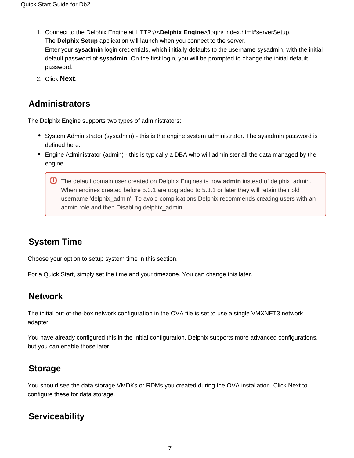- 1. Connect to the Delphix Engine at HTTP://<**Delphix Engine**>/login/ index.html#serverSetup. The **Delphix Setup** application will launch when you connect to the server. Enter your **sysadmin** login credentials, which initially defaults to the username sysadmin, with the initial default password of **sysadmin**. On the first login, you will be prompted to change the initial default password.
- 2. Click **Next**.

#### <span id="page-6-0"></span>**Administrators**

The Delphix Engine supports two types of administrators:

- System Administrator (sysadmin) this is the engine system administrator. The sysadmin password is defined here.
- Engine Administrator (admin) this is typically a DBA who will administer all the data managed by the engine.
	- The default domain user created on Delphix Engines is now **admin** instead of delphix\_admin. When engines created before 5.3.1 are upgraded to 5.3.1 or later they will retain their old username 'delphix\_admin'. To avoid complications Delphix recommends creating users with an admin role and then Disabling delphix\_admin.

### <span id="page-6-1"></span>**System Time**

Choose your option to setup system time in this section.

For a Quick Start, simply set the time and your timezone. You can change this later.

#### <span id="page-6-2"></span>**Network**

The initial out-of-the-box network configuration in the OVA file is set to use a single VMXNET3 network adapter.

You have already configured this in the initial configuration. Delphix supports more advanced configurations, but you can enable those later.

### <span id="page-6-3"></span>**Storage**

You should see the data storage VMDKs or RDMs you created during the OVA installation. Click Next to configure these for data storage.

### <span id="page-6-4"></span>**Serviceability**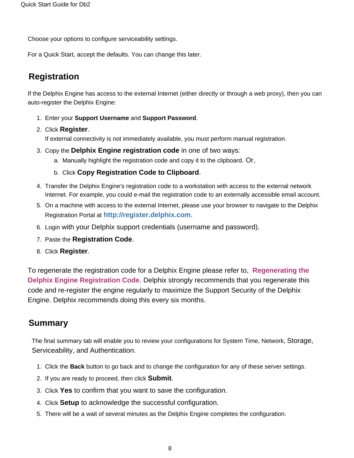Choose your options to configure serviceability settings.

For a Quick Start, accept the defaults. You can change this later.

### <span id="page-7-0"></span>**Registration**

If the Delphix Engine has access to the external Internet (either directly or through a web proxy), then you can auto-register the Delphix Engine:

- 1. Enter your **Support Username** and **Support Password**.
- 2. Click **Register**.

If external connectivity is not immediately available, you must perform manual registration.

- 3. Copy the **Delphix Engine registration code** in one of two ways:
	- a. Manually highlight the registration code and copy it to the clipboard. Or,
	- b. Click **Copy Registration Code to Clipboard**.
- 4. Transfer the Delphix Engine's registration code to a workstation with access to the external network Internet. For example, you could e-mail the registration code to an externally accessible email account.
- 5. On a machine with access to the external Internet, please use your browser to navigate to the Delphix Registration Portal a[t](http://register.delphix.com/) **<http://register.delphix.com>**.
- 6. Login with your Delphix support credentials (username and password).
- 7. Paste the **Registration Code**.
- 8. Click **Register**.

To regenerate the registration code for a Delphix Engine please refer to, **[Regenerating the](https://docs.delphix.com/display/DOCS537/Regenerating+the+Delphix+Engine+Registration+Code)  [Delphix Engine Registration Code](https://docs.delphix.com/display/DOCS537/Regenerating+the+Delphix+Engine+Registration+Code)**. Delphix strongly recommends that you regenerate this code and re-register the engine regularly to maximize the Support Security of the Delphix Engine. Delphix recommends doing this every six months.

#### <span id="page-7-1"></span>**Summary**

The final summary tab will enable you to review your configurations for System Time, Network, Storage, Serviceability, and Authentication.

- 1. Click the **Back** button to go back and to change the configuration for any of these server settings.
- 2. If you are ready to proceed, then click **Submit**.
- 3. Click **Yes** to confirm that you want to save the configuration.
- 4. Click **Setup** to acknowledge the successful configuration.
- <span id="page-7-2"></span>5. There will be a wait of several minutes as the Delphix Engine completes the configuration.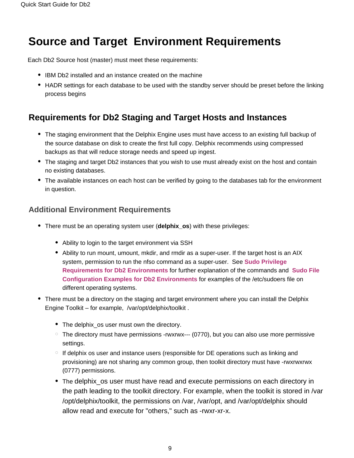# **Source and Target Environment Requirements**

Each Db2 Source host (master) must meet these requirements:

- IBM Db2 installed and an instance created on the machine
- HADR settings for each database to be used with the standby server should be preset before the linking process begins

### <span id="page-8-0"></span>**Requirements for Db2 Staging and Target Hosts and Instances**

- The staging environment that the Delphix Engine uses must have access to an existing full backup of the source database on disk to create the first full copy. Delphix recommends using compressed backups as that will reduce storage needs and speed up ingest.
- The staging and target Db2 instances that you wish to use must already exist on the host and contain no existing databases.
- The available instances on each host can be verified by going to the databases tab for the environment in question.

#### <span id="page-8-1"></span>**Additional Environment Requirements**

- There must be an operating system user (**delphix\_os**) with these privileges:
	- Ability to login to the target environment via SSH
	- Ability to run mount, umount, mkdir, and rmdir as a super-user. If the target host is an AIX system, permission to run the nfso command as a super-user. See **[Sudo Privilege](https://docs.delphix.com/display/DOCS537/Sudo+Privilege+Requirements+for+Db2+Environments)  [Requirements for Db2 Environments](https://docs.delphix.com/display/DOCS537/Sudo+Privilege+Requirements+for+Db2+Environments)** for further explanation of the commands and **[Sudo File](https://docs.delphix.com/display/DOCS537/Sudo+File+Configuration+Examples+for+Db2+Environments)  [Configuration Examples for Db2 Environments](https://docs.delphix.com/display/DOCS537/Sudo+File+Configuration+Examples+for+Db2+Environments)** for examples of the /etc/sudoers file on different operating systems.
- There must be a directory on the staging and target environment where you can install the Delphix Engine Toolkit – for example, /var/opt/delphix/toolkit .
	- The delphix\_os user must own the directory.
	- $\degree$  The directory must have permissions -rwxrwx--- (0770), but you can also use more permissive settings.
	- $\circ$  If delphix os user and instance users (responsible for DE operations such as linking and provisioning) are not sharing any common group, then toolkit directory must have -rwxrwxrwx (0777) permissions.
	- The delphix\_os user must have read and execute permissions on each directory in the path leading to the toolkit directory. For example, when the toolkit is stored in /var /opt/delphix/toolkit, the permissions on /var, /var/opt, and /var/opt/delphix should allow read and execute for "others," such as -rwxr-xr-x.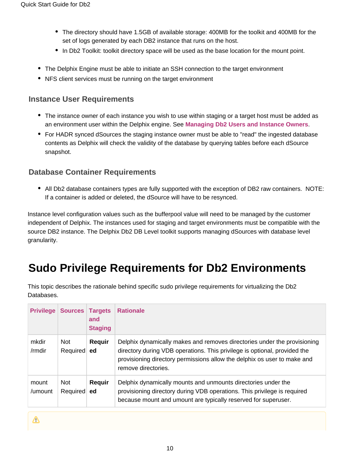- The directory should have 1.5GB of available storage: 400MB for the toolkit and 400MB for the set of logs generated by each DB2 instance that runs on the host.
- In Db2 Toolkit: toolkit directory space will be used as the base location for the mount point.
- The Delphix Engine must be able to initiate an SSH connection to the target environment
- NFS client services must be running on the target environment

#### <span id="page-9-0"></span>**Instance User Requirements**

- The instance owner of each instance you wish to use within staging or a target host must be added as an environment user within the Delphix engine. See **[Managing Db2 Users and Instance Owners](https://docs.delphix.com/display/DOCS537/Managing+Db2+Users+and+Instance+Owners)**.
- For HADR synced dSources the staging instance owner must be able to "read" the ingested database contents as Delphix will check the validity of the database by querying tables before each dSource snapshot.

#### <span id="page-9-1"></span>**Database Container Requirements**

• All Db2 database containers types are fully supported with the exception of DB2 raw containers. NOTE: If a container is added or deleted, the dSource will have to be resynced.

Instance level configuration values such as the bufferpool value will need to be managed by the customer independent of Delphix. The instances used for staging and target environments must be compatible with the source DB2 instance. The Delphix Db2 DB Level toolkit supports managing dSources with database level granularity.

# <span id="page-9-2"></span>**Sudo Privilege Requirements for Db2 Environments**

This topic describes the rationale behind specific sudo privilege requirements for virtualizing the Db2 Databases.

| <b>Privilege</b> | <b>Sources</b>     | <b>Targets</b><br>and<br><b>Staging</b> | <b>Rationale</b>                                                                                                                                                                                                                                         |
|------------------|--------------------|-----------------------------------------|----------------------------------------------------------------------------------------------------------------------------------------------------------------------------------------------------------------------------------------------------------|
| mkdir<br>/rmdir  | Not<br>Required ed | Requir                                  | Delphix dynamically makes and removes directories under the provisioning<br>directory during VDB operations. This privilege is optional, provided the<br>provisioning directory permissions allow the delphix os user to make and<br>remove directories. |
| mount<br>/umount | Not<br>Required ed | Requir                                  | Delphix dynamically mounts and unmounts directories under the<br>provisioning directory during VDB operations. This privilege is required<br>because mount and umount are typically reserved for superuser.                                              |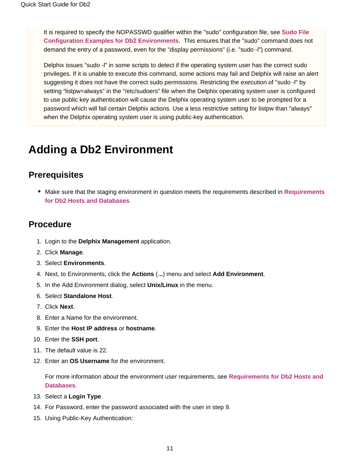It is required to specify the NOPASSWD qualifier within the "sudo" configuration file, see **[Sudo File](https://docs.delphix.com/display/DOCS537/Sudo+File+Configuration+Examples+for+Db2+Environments)  [Configuration Examples for Db2 Environments](https://docs.delphix.com/display/DOCS537/Sudo+File+Configuration+Examples+for+Db2+Environments)**. This ensures that the "sudo" command does not demand the entry of a password, even for the "display permissions" (i.e. "sudo -l") command.

Delphix issues "sudo -l" in some scripts to detect if the operating system user has the correct sudo privileges. If it is unable to execute this command, some actions may fail and Delphix will raise an alert suggesting it does not have the correct sudo permissions. Restricting the execution of "sudo -l" by setting "listpw=always" in the "/etc/sudoers" file when the Delphix operating system user is configured to use public key authentication will cause the Delphix operating system user to be prompted for a password which will fail certain Delphix actions. Use a less restrictive setting for listpw than "always" when the Delphix operating system user is using public-key authentication.

## <span id="page-10-0"></span>**Adding a Db2 Environment**

#### <span id="page-10-1"></span>**Prerequisites**

Make sure that the staging environment in question meets the requirements described in **[Requirements](https://docs.delphix.com/display/DOCS537/Requirements+for+Db2+Hosts+and+Databases) [for Db2 Hosts and Databases](https://docs.delphix.com/display/DOCS537/Requirements+for+Db2+Hosts+and+Databases)**.

#### <span id="page-10-2"></span>**Procedure**

- 1. Login to the **Delphix Management** application.
- 2. Click **Manage**.
- 3. Select **Environments**.
- 4. Next, to Environments, click the **Actions** (.**..**) menu and select **Add Environment**.
- 5. In the Add Environment dialog, select **Unix/Linux** in the menu.
- 6. Select **Standalone Host**.
- 7. Click **Next**.
- 8. Enter a Name for the environment.
- 9. Enter the **Host IP address** or **hostname**.
- 10. Enter the **SSH port**.
- 11. The default value is 22.
- 12. Enter an **OS Username** for the environment.

For more information about the environment user requirements, see **[Requirements for Db2 Hosts and](https://docs.delphix.com/display/DOCS537/Requirements+for+Db2+Hosts+and+Databases)  [Databases](https://docs.delphix.com/display/DOCS537/Requirements+for+Db2+Hosts+and+Databases)**.

- 13. Select a **Login Type**.
- 14. For Password, enter the password associated with the user in step 9.
- 15. Using Public-Key Authentication: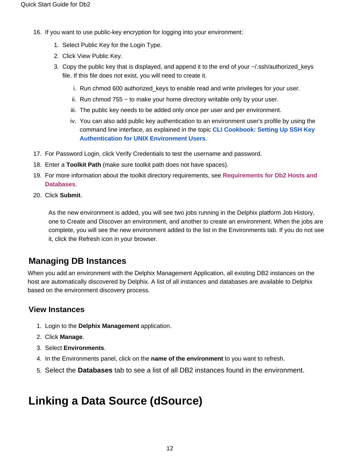- 16. If you want to use public-key encryption for logging into your environment:
	- 1. Select Public Key for the Login Type.
	- 2. Click View Public Key.
	- 3. Copy the public key that is displayed, and append it to the end of your ~/.ssh/authorized\_keys file. If this file does not exist, you will need to create it.
		- i. Run chmod 600 authorized\_keys to enable read and write privileges for your user.
		- ii. Run chmod 755 ~ to make your home directory writable only by your user.
		- iii. The public key needs to be added only once per user and per environment.
		- iv. You can also add public key authentication to an environment user's profile by using the command line interface, as explained in the topic **[CLI Cookbook: Setting Up SSH Key](https://docs.delphix.com/display/DOCS537/CLI+Cookbook%3A+Setting+Up+SSH+Key+Authentication+for+UNIX+Environment+Users)  [Authentication for UNIX Environment Users](https://docs.delphix.com/display/DOCS537/CLI+Cookbook%3A+Setting+Up+SSH+Key+Authentication+for+UNIX+Environment+Users)**.
- 17. For Password Login, click Verify Credentials to test the username and password.
- 18. Enter a **Toolkit Path** (make sure toolkit path does not have spaces).
- 19. For more information about the toolkit directory requirements, see **[Requirements for Db2 Hosts and](https://docs.delphix.com/display/DOCS537/Requirements+for+Db2+Hosts+and+Databases)  [Databases](https://docs.delphix.com/display/DOCS537/Requirements+for+Db2+Hosts+and+Databases)**.
- 20. Click **Submit**.

As the new environment is added, you will see two jobs running in the Delphix platform Job History, one to Create and Discover an environment, and another to create an environment. When the jobs are complete, you will see the new environment added to the list in the Environments tab. If you do not see it, click the Refresh icon in your browser.

#### <span id="page-11-0"></span>**Managing DB Instances**

When you add an environment with the Delphix Management Application, all existing DB2 instances on the host are automatically discovered by Delphix. A list of all instances and databases are available to Delphix based on the environment discovery process.

#### <span id="page-11-1"></span>**View Instances**

- 1. Login to the **Delphix Management** application.
- 2. Click **Manage**.
- 3. Select **Environments**.
- 4. In the Environments panel, click on the **name of the environment** to you want to refresh.
- 5. Select the **Databases** tab to see a list of all DB2 instances found in the environment.

## <span id="page-11-3"></span><span id="page-11-2"></span>**Linking a Data Source (dSource)**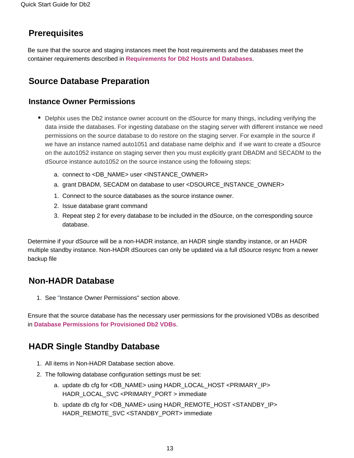### **Prerequisites**

Be sure that the source and staging instances meet the host requirements and the databases meet the container requirements described in **[Requirements for Db2 Hosts and Databases](https://docs.delphix.com/display/DOCS537/Requirements+for+Db2+Hosts+and+Databases)**.

### <span id="page-12-0"></span>**Source Database Preparation**

#### <span id="page-12-1"></span>**Instance Owner Permissions**

- Delphix uses the Db2 instance owner account on the dSource for many things, including verifying the data inside the databases. For ingesting database on the staging server with different instance we need permissions on the source database to do restore on the staging server. For example in the source if we have an instance named auto1051 and database name delphix and if we want to create a dSource on the auto1052 instance on staging server then you must explicitly grant DBADM and SECADM to the dSource instance auto1052 on the source instance using the following steps:
	- a. connect to <DB\_NAME> user <INSTANCE\_OWNER>
	- a. grant DBADM, SECADM on database to user <DSOURCE\_INSTANCE\_OWNER>
	- 1. Connect to the source databases as the source instance owner.
	- 2. Issue database grant command
	- 3. Repeat step 2 for every database to be included in the dSource, on the corresponding source database.

Determine if your dSource will be a non-HADR instance, an HADR single standby instance, or an HADR multiple standby instance. Non-HADR dSources can only be updated via a full dSource resync from a newer backup file

### <span id="page-12-2"></span>**Non-HADR Database**

1. See "Instance Owner Permissions" section above.

Ensure that the source database has the necessary user permissions for the provisioned VDBs as described in **[Database Permissions for Provisioned Db2 VDBs](https://docs.delphix.com/display/DOCS537/Database+Permissions+for+Provisioned+Db2+VDBs)**.

### <span id="page-12-3"></span>**HADR Single Standby Database**

- 1. All items in Non-HADR Database section above.
- 2. The following database configuration settings must be set:
	- a. update db cfg for <DB\_NAME> using HADR\_LOCAL\_HOST <PRIMARY\_IP> HADR\_LOCAL\_SVC <PRIMARY\_PORT > immediate
	- b. update db cfg for <DB\_NAME> using HADR\_REMOTE\_HOST <STANDBY\_IP> HADR\_REMOTE\_SVC <STANDBY\_PORT> immediate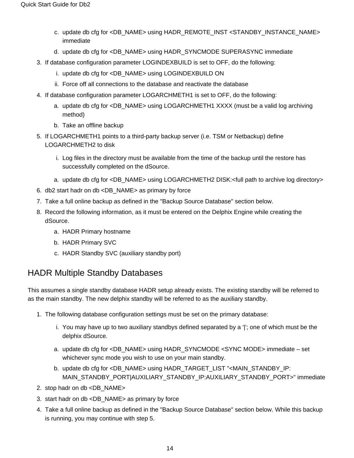- c. update db cfg for <DB\_NAME> using HADR\_REMOTE\_INST <STANDBY\_INSTANCE\_NAME> immediate
- d. update db cfg for <DB\_NAME> using HADR\_SYNCMODE SUPERASYNC immediate
- 3. If database configuration parameter LOGINDEXBUILD is set to OFF, do the following:
	- i. update db cfg for <DB\_NAME> using LOGINDEXBUILD ON
	- ii. Force off all connections to the database and reactivate the database
- 4. If database configuration parameter LOGARCHMETH1 is set to OFF, do the following:
	- a. update db cfg for <DB\_NAME> using LOGARCHMETH1 XXXX (must be a valid log archiving method)
	- b. Take an offline backup
- 5. If LOGARCHMETH1 points to a third-party backup server (i.e. TSM or Netbackup) define LOGARCHMETH2 to disk
	- i. Log files in the directory must be available from the time of the backup until the restore has successfully completed on the dSource.
	- a. update db cfg for <DB\_NAME> using LOGARCHMETH2 DISK:<full path to archive log directory>
- 6. db2 start hadr on db <DB\_NAME> as primary by force
- 7. Take a full online backup as defined in the "Backup Source Database" section below.
- 8. Record the following information, as it must be entered on the Delphix Engine while creating the dSource.
	- a. HADR Primary hostname
	- b. HADR Primary SVC
	- c. HADR Standby SVC (auxiliary standby port)

#### HADR Multiple Standby Databases

This assumes a single standby database HADR setup already exists. The existing standby will be referred to as the main standby. The new delphix standby will be referred to as the auxiliary standby.

- 1. The following database configuration settings must be set on the primary database:
	- i. You may have up to two auxiliary standbys defined separated by a '|'; one of which must be the delphix dSource.
	- a. update db cfg for <DB\_NAME> using HADR\_SYNCMODE <SYNC MODE> immediate set whichever sync mode you wish to use on your main standby.
	- b. update db cfg for <DB\_NAME> using HADR\_TARGET\_LIST "<MAIN\_STANDBY\_IP: MAIN\_STANDBY\_PORT|AUXILIARY\_STANDBY\_IP:AUXILIARY\_STANDBY\_PORT>" immediate
- 2. stop hadr on db <DB\_NAME>
- 3. start hadr on db <DB\_NAME> as primary by force
- 4. Take a full online backup as defined in the "Backup Source Database" section below. While this backup is running, you may continue with step 5.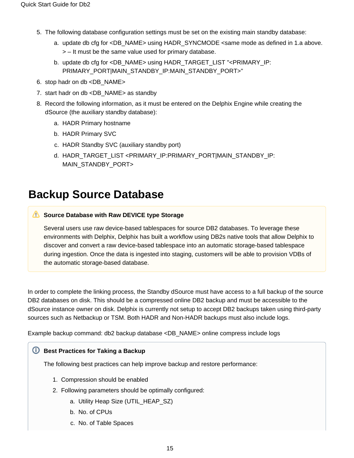- 5. The following database configuration settings must be set on the existing main standby database:
	- a. update db cfg for <DB\_NAME> using HADR\_SYNCMODE <same mode as defined in 1.a above. > – It must be the same value used for primary database.
	- b. update db cfg for <DB\_NAME> using HADR\_TARGET\_LIST "<PRIMARY\_IP: PRIMARY\_PORT|MAIN\_STANDBY\_IP:MAIN\_STANDBY\_PORT>"
- 6. stop hadr on db <DB\_NAME>
- 7. start hadr on db <DB\_NAME> as standby
- 8. Record the following information, as it must be entered on the Delphix Engine while creating the dSource (the auxiliary standby database):
	- a. HADR Primary hostname
	- b. HADR Primary SVC
	- c. HADR Standby SVC (auxiliary standby port)
	- d. HADR\_TARGET\_LIST <PRIMARY\_IP:PRIMARY\_PORT|MAIN\_STANDBY\_IP: MAIN\_STANDBY\_PORT>

### <span id="page-14-0"></span>**Backup Source Database**

#### **Source Database with Raw DEVICE type Storage**

Several users use raw device-based tablespaces for source DB2 databases. To leverage these environments with Delphix, Delphix has built a workflow using DB2s native tools that allow Delphix to discover and convert a raw device-based tablespace into an automatic storage-based tablespace during ingestion. Once the data is ingested into staging, customers will be able to provision VDBs of the automatic storage-based database.

In order to complete the linking process, the Standby dSource must have access to a full backup of the source DB2 databases on disk. This should be a compressed online DB2 backup and must be accessible to the dSource instance owner on disk. Delphix is currently not setup to accept DB2 backups taken using third-party sources such as Netbackup or TSM. Both HADR and Non-HADR backups must also include logs.

Example backup command: db2 backup database <DB\_NAME> online compress include logs

#### *U* Best Practices for Taking a Backup

The following best practices can help improve backup and restore performance:

- 1. Compression should be enabled
- 2. Following parameters should be optimally configured:
	- a. Utility Heap Size (UTIL\_HEAP\_SZ)
	- b. No. of CPUs
	- c. No. of Table Spaces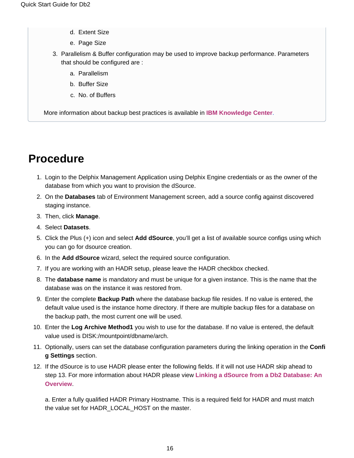- d. Extent Size
- e. Page Size
- 3. Parallelism & Buffer configuration may be used to improve backup performance. Parameters that should be configured are :
	- a. Parallelism
	- b. Buffer Size
	- c. No. of Buffers

More information about backup best practices is available in **[IBM Knowledge Center](https://www.ibm.com/support/knowledgecenter/en/SSEPGG_10.5.0/com.ibm.db2.luw.admin.ha.doc/doc/c0006205.html)**.

# <span id="page-15-0"></span>**Procedure**

- 1. Login to the Delphix Management Application using Delphix Engine credentials or as the owner of the database from which you want to provision the dSource.
- 2. On the **Databases** tab of Environment Management screen, add a source config against discovered staging instance.
- 3. Then, click **Manage**.
- 4. Select **Datasets**.
- 5. Click the Plus (+) icon and select **Add dSource**, you'll get a list of available source configs using which you can go for dsource creation.
- 6. In the **Add dSource** wizard, select the required source configuration.
- 7. If you are working with an HADR setup, please leave the HADR checkbox checked.
- 8. The **database name** is mandatory and must be unique for a given instance. This is the name that the database was on the instance it was restored from.
- 9. Enter the complete **Backup Path** where the database backup file resides. If no value is entered, the default value used is the instance home directory. If there are multiple backup files for a database on the backup path, the most current one will be used.
- 10. Enter the **Log Archive Method1** you wish to use for the database. If no value is entered, the default value used is DISK:/mountpoint/dbname/arch.
- 11. Optionally, users can set the database configuration parameters during the linking operation in the **Confi g Settings** section.
- 12. If the dSource is to use HADR please enter the following fields. If it will not use HADR skip ahead to step 13. For more information about HADR please view **[Linking a dSource from a Db2 Database: An](https://docs.delphix.com/display/DOCS537/Linking+a+dSource+from+a+Db2+Database%3A+An+Overview)  [Overview](https://docs.delphix.com/display/DOCS537/Linking+a+dSource+from+a+Db2+Database%3A+An+Overview)**.

a. Enter a fully qualified HADR Primary Hostname. This is a required field for HADR and must match the value set for HADR\_LOCAL\_HOST on the master.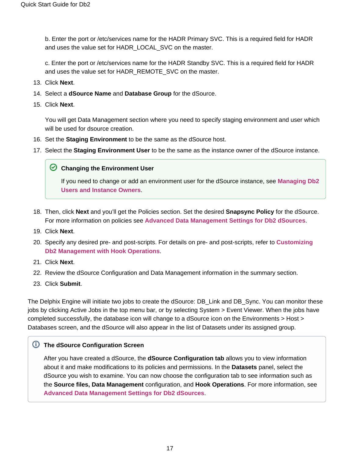b. Enter the port or /etc/services name for the HADR Primary SVC. This is a required field for HADR and uses the value set for HADR\_LOCAL\_SVC on the master.

c. Enter the port or /etc/services name for the HADR Standby SVC. This is a required field for HADR and uses the value set for HADR\_REMOTE\_SVC on the master.

- 13. Click **Next**.
- 14. Select a **dSource Name** and **Database Group** for the dSource.
- 15. Click **Next**.

You will get Data Management section where you need to specify staging environment and user which will be used for dsource creation.

- 16. Set the **Staging Environment** to be the same as the dSource host.
- 17. Select the **Staging Environment User** to be the same as the instance owner of the dSource instance.

#### **C** Changing the Environment User

If you need to change or add an environment user for the dSource instance, see **[Managing Db2](https://docs.delphix.com/display/DOCS537/Managing+Db2+Users+and+Instance+Owners)  [Users and Instance Owners](https://docs.delphix.com/display/DOCS537/Managing+Db2+Users+and+Instance+Owners)**.

- 18. Then, click **Next** and you'll get the Policies section. Set the desired **Snapsync Policy** for the dSource. For more information on policies see **[Advanced Data Management Settings for Db2 dSources](https://docs.delphix.com/display/DOCS537/Advanced+Data+Management+Settings+for+Db2+dSources)**.
- 19. Click **Next**.
- 20. Specify any desired pre- and post-scripts. For details on pre- and post-scripts, refer to **[Customizing](https://docs.delphix.com/display/DOCS537/Customizing+Db2+Management+with+Hook+Operations)  [Db2 Management with Hook Operations](https://docs.delphix.com/display/DOCS537/Customizing+Db2+Management+with+Hook+Operations)**.
- 21. Click **Next**.
- 22. Review the dSource Configuration and Data Management information in the summary section.
- 23. Click **Submit**.

The Delphix Engine will initiate two jobs to create the dSource: DB\_Link and DB\_Sync. You can monitor these jobs by clicking Active Jobs in the top menu bar, or by selecting System > Event Viewer. When the jobs have completed successfully, the database icon will change to a dSource icon on the Environments > Host > Databases screen, and the dSource will also appear in the list of Datasets under its assigned group.

#### **The dSource Configuration Screen**

<span id="page-16-0"></span>After you have created a dSource, the **dSource Configuration tab** allows you to view information about it and make modifications to its policies and permissions. In the **Datasets** panel, select the dSource you wish to examine. You can now choose the configuration tab to see information such as the **Source files, Data Management** configuration, and **Hook Operations**. For more information, see **[Advanced Data Management Settings for Db2 dSources](https://docs.delphix.com/display/DOCS537/Advanced+Data+Management+Settings+for+Db2+dSources)**.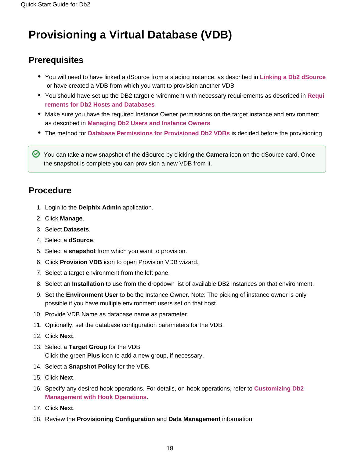# **Provisioning a Virtual Database (VDB)**

### <span id="page-17-0"></span>**Prerequisites**

- You will need to have linked a dSource from a staging instance, as described in **[Linking a Db2 dSource](https://docs.delphix.com/display/DOCS537/Linking+a+Db2+dSource)** or have created a VDB from which you want to provision another VDB
- You should have set up the DB2 target environment with necessary requirements as described in **[Requi](https://docs.delphix.com/display/DOCS537/Requirements+for+Db2+Hosts+and+Databases) [rements for Db2 Hosts and Databases](https://docs.delphix.com/display/DOCS537/Requirements+for+Db2+Hosts+and+Databases)**
- Make sure you have the required Instance Owner permissions on the target instance and environment as described in **[Managing Db2 Users and Instance Owners](https://docs.delphix.com/display/DOCS537/Managing+Db2+Users+and+Instance+Owners)**
- The method for **[Database Permissions for Provisioned Db2 VDBs](https://docs.delphix.com/display/DOCS537/Database+Permissions+for+Provisioned+Db2+VDBs)** is decided before the provisioning

You can take a new snapshot of the dSource by clicking the **Camera** icon on the dSource card. Once the snapshot is complete you can provision a new VDB from it.

### <span id="page-17-1"></span>**Procedure**

- 1. Login to the **Delphix Admin** application.
- 2. Click **Manage**.
- 3. Select **Datasets**.
- 4. Select a **dSource**.
- 5. Select a **snapshot** from which you want to provision.
- 6. Click **Provision VDB** icon to open Provision VDB wizard.
- 7. Select a target environment from the left pane.
- 8. Select an **Installation** to use from the dropdown list of available DB2 instances on that environment.
- 9. Set the **Environment User** to be the Instance Owner. Note: The picking of instance owner is only possible if you have multiple environment users set on that host.
- 10. Provide VDB Name as database name as parameter.
- 11. Optionally, set the database configuration parameters for the VDB.
- 12. Click **Next**.
- 13. Select a **Target Group** for the VDB. Click the green **Plus** icon to add a new group, if necessary.
- 14. Select a **Snapshot Policy** for the VDB.
- 15. Click **Next**.
- 16. Specify any desired hook operations. For details, on-hook operations, refer to **[Customizing Db2](https://docs.delphix.com/display/DOCS537/Customizing+Db2+Management+with+Hook+Operations)  [Management with Hook Operations](https://docs.delphix.com/display/DOCS537/Customizing+Db2+Management+with+Hook+Operations)**.
- 17. Click **Next**.
- 18. Review the **Provisioning Configuration** and **Data Management** information.